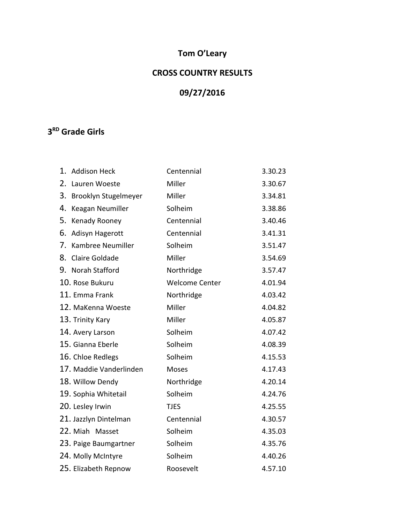# **Tom O'Leary**

### **CROSS COUNTRY RESULTS**

# **09/27/2016**

### **3 RD Grade Girls**

| 1. | <b>Addison Heck</b>     | Centennial            | 3.30.23 |
|----|-------------------------|-----------------------|---------|
| 2. | Lauren Woeste           | Miller                | 3.30.67 |
| 3. | Brooklyn Stugelmeyer    | Miller                | 3.34.81 |
| 4. | Keagan Neumiller        | Solheim               | 3.38.86 |
| 5. | Kenady Rooney           | Centennial            | 3.40.46 |
| 6. | Adisyn Hagerott         | Centennial            | 3.41.31 |
| 7. | Kambree Neumiller       | Solheim               | 3.51.47 |
| 8. | Claire Goldade          | Miller                | 3.54.69 |
|    | 9. Norah Stafford       | Northridge            | 3.57.47 |
|    | 10. Rose Bukuru         | <b>Welcome Center</b> | 4.01.94 |
|    | 11. Emma Frank          | Northridge            | 4.03.42 |
|    | 12. MaKenna Woeste      | Miller                | 4.04.82 |
|    | 13. Trinity Kary        | Miller                | 4.05.87 |
|    | 14. Avery Larson        | Solheim               | 4.07.42 |
|    | 15. Gianna Eberle       | Solheim               | 4.08.39 |
|    | 16. Chloe Redlegs       | Solheim               | 4.15.53 |
|    | 17. Maddie Vanderlinden | Moses                 | 4.17.43 |
|    | 18. Willow Dendy        | Northridge            | 4.20.14 |
|    | 19. Sophia Whitetail    | Solheim               | 4.24.76 |
|    | 20. Lesley Irwin        | <b>TJES</b>           | 4.25.55 |
|    | 21. Jazzlyn Dintelman   | Centennial            | 4.30.57 |
|    | 22. Miah Masset         | Solheim               | 4.35.03 |
|    | 23. Paige Baumgartner   | Solheim               | 4.35.76 |
|    | 24. Molly McIntyre      | Solheim               | 4.40.26 |
|    | 25. Elizabeth Repnow    | Roosevelt             | 4.57.10 |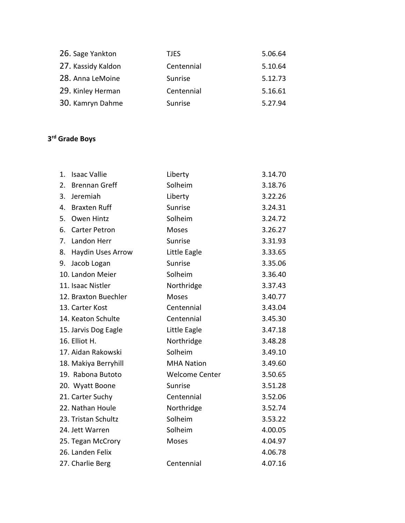| 26. Sage Yankton   | <b>TJES</b> | 5.06.64 |
|--------------------|-------------|---------|
| 27. Kassidy Kaldon | Centennial  | 5.10.64 |
| 28. Anna LeMoine   | Sunrise     | 5.12.73 |
| 29. Kinley Herman  | Centennial  | 5.16.61 |
| 30. Kamryn Dahme   | Sunrise     | 5.27.94 |

#### **3 rd Grade Boys**

| 1. | <b>Isaac Vallie</b>      | Liberty               | 3.14.70 |
|----|--------------------------|-----------------------|---------|
| 2. | <b>Brennan Greff</b>     | Solheim               | 3.18.76 |
| 3. | Jeremiah                 | Liberty               | 3.22.26 |
| 4. | <b>Braxten Ruff</b>      | Sunrise               | 3.24.31 |
| 5. | <b>Owen Hintz</b>        | Solheim               | 3.24.72 |
| 6. | <b>Carter Petron</b>     | <b>Moses</b>          | 3.26.27 |
| 7. | Landon Herr              | Sunrise               | 3.31.93 |
| 8. | <b>Haydin Uses Arrow</b> | Little Eagle          | 3.33.65 |
| 9. | Jacob Logan              | Sunrise               | 3.35.06 |
|    | 10. Landon Meier         | Solheim               | 3.36.40 |
|    | 11. Isaac Nistler        | Northridge            | 3.37.43 |
|    | 12. Braxton Buechler     | <b>Moses</b>          | 3.40.77 |
|    | 13. Carter Kost          | Centennial            | 3.43.04 |
|    | 14. Keaton Schulte       | Centennial            | 3.45.30 |
|    | 15. Jarvis Dog Eagle     | Little Eagle          | 3.47.18 |
|    | 16. Elliot H.            | Northridge            | 3.48.28 |
|    | 17. Aidan Rakowski       | Solheim               | 3.49.10 |
|    | 18. Makiya Berryhill     | <b>MHA Nation</b>     | 3.49.60 |
|    | 19. Rabona Butoto        | <b>Welcome Center</b> | 3.50.65 |
|    | 20. Wyatt Boone          | Sunrise               | 3.51.28 |
|    | 21. Carter Suchy         | Centennial            | 3.52.06 |
|    | 22. Nathan Houle         | Northridge            | 3.52.74 |
|    | 23. Tristan Schultz      | Solheim               | 3.53.22 |
|    | 24. Jett Warren          | Solheim               | 4.00.05 |
|    | 25. Tegan McCrory        | Moses                 | 4.04.97 |
|    | 26. Landen Felix         |                       | 4.06.78 |
|    | 27. Charlie Berg         | Centennial            | 4.07.16 |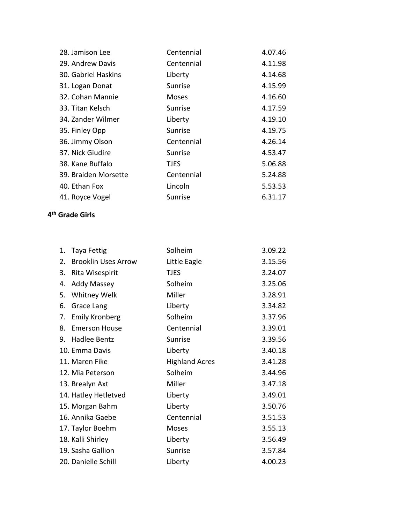| 28. Jamison Lee      | Centennial   | 4.07.46 |
|----------------------|--------------|---------|
| 29. Andrew Davis     | Centennial   | 4.11.98 |
| 30. Gabriel Haskins  | Liberty      | 4.14.68 |
| 31. Logan Donat      | Sunrise      | 4.15.99 |
| 32. Cohan Mannie     | <b>Moses</b> | 4.16.60 |
| 33. Titan Kelsch     | Sunrise      | 4.17.59 |
| 34. Zander Wilmer    | Liberty      | 4.19.10 |
| 35. Finley Opp       | Sunrise      | 4.19.75 |
| 36. Jimmy Olson      | Centennial   | 4.26.14 |
| 37. Nick Giudire     | Sunrise      | 4.53.47 |
| 38. Kane Buffalo     | <b>TJES</b>  | 5.06.88 |
| 39. Braiden Morsette | Centennial   | 5.24.88 |
| 40. Ethan Fox        | Lincoln      | 5.53.53 |
| 41. Royce Vogel      | Sunrise      | 6.31.17 |
|                      |              |         |

#### **4 th Grade Girls**

| 1. | Taya Fettig                | Solheim               | 3.09.22 |
|----|----------------------------|-----------------------|---------|
| 2. | <b>Brooklin Uses Arrow</b> | Little Eagle          | 3.15.56 |
| 3. | Rita Wisespirit            | <b>TJES</b>           | 3.24.07 |
| 4. | <b>Addy Massey</b>         | Solheim               | 3.25.06 |
| 5. | Whitney Welk               | Miller                | 3.28.91 |
| 6. | Grace Lang                 | Liberty               | 3.34.82 |
| 7. | <b>Emily Kronberg</b>      | Solheim               | 3.37.96 |
| 8. | <b>Emerson House</b>       | Centennial            | 3.39.01 |
| 9. | Hadlee Bentz               | Sunrise               | 3.39.56 |
|    | 10. Emma Davis             | Liberty               | 3.40.18 |
|    | 11. Maren Fike             | <b>Highland Acres</b> | 3.41.28 |
|    | 12. Mia Peterson           | Solheim               | 3.44.96 |
|    | 13. Brealyn Axt            | Miller                | 3.47.18 |
|    | 14. Hatley Hetletved       | Liberty               | 3.49.01 |
|    | 15. Morgan Bahm            | Liberty               | 3.50.76 |
|    | 16. Annika Gaebe           | Centennial            | 3.51.53 |
|    | 17. Taylor Boehm           | Moses                 | 3.55.13 |
|    | 18. Kalli Shirley          | Liberty               | 3.56.49 |
|    | 19. Sasha Gallion          | Sunrise               | 3.57.84 |
|    | 20. Danielle Schill        | Liberty               | 4.00.23 |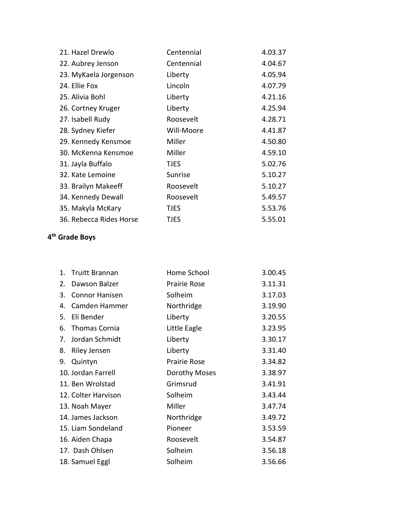| 21. Hazel Drewlo        | Centennial  | 4.03.37 |
|-------------------------|-------------|---------|
| 22. Aubrey Jenson       | Centennial  | 4.04.67 |
| 23. MyKaela Jorgenson   | Liberty     | 4.05.94 |
| 24. Ellie Fox           | Lincoln     | 4.07.79 |
| 25. Alivia Bohl         | Liberty     | 4.21.16 |
| 26. Cortney Kruger      | Liberty     | 4.25.94 |
| 27. Isabell Rudy        | Roosevelt   | 4.28.71 |
| 28. Sydney Kiefer       | Will-Moore  | 4.41.87 |
| 29. Kennedy Kensmoe     | Miller      | 4.50.80 |
| 30. McKenna Kensmoe     | Miller      | 4.59.10 |
| 31. Jayla Buffalo       | <b>TJES</b> | 5.02.76 |
| 32. Kate Lemoine        | Sunrise     | 5.10.27 |
| 33. Brailyn Makeeff     | Roosevelt   | 5.10.27 |
| 34. Kennedy Dewall      | Roosevelt   | 5.49.57 |
| 35. Makyla McKary       | <b>TJES</b> | 5.53.76 |
| 36. Rebecca Rides Horse | <b>TJES</b> | 5.55.01 |

#### **4 th Grade Boys**

|    | 1. Truitt Brannan     | Home School   | 3.00.45 |
|----|-----------------------|---------------|---------|
| 2. | Dawson Balzer         | Prairie Rose  | 3.11.31 |
| 3. | <b>Connor Hanisen</b> | Solheim       | 3.17.03 |
| 4. | Camden Hammer         | Northridge    | 3.19.90 |
| 5. | Eli Bender            | Liberty       | 3.20.55 |
| 6. | Thomas Cornia         | Little Eagle  | 3.23.95 |
| 7. | Jordan Schmidt        | Liberty       | 3.30.17 |
| 8. | Riley Jensen          | Liberty       | 3.31.40 |
| 9. | Quintyn               | Prairie Rose  | 3.34.82 |
|    | 10. Jordan Farrell    | Dorothy Moses | 3.38.97 |
|    | 11. Ben Wrolstad      | Grimsrud      | 3.41.91 |
|    | 12. Colter Harvison   | Solheim       | 3.43.44 |
|    | 13. Noah Mayer        | Miller        | 3.47.74 |
|    | 14. James Jackson     | Northridge    | 3.49.72 |
|    | 15. Liam Sondeland    | Pioneer       | 3.53.59 |
|    | 16. Aiden Chapa       | Roosevelt     | 3.54.87 |
|    | 17. Dash Ohlsen       | Solheim       | 3.56.18 |
|    | 18. Samuel Eggl       | Solheim       | 3.56.66 |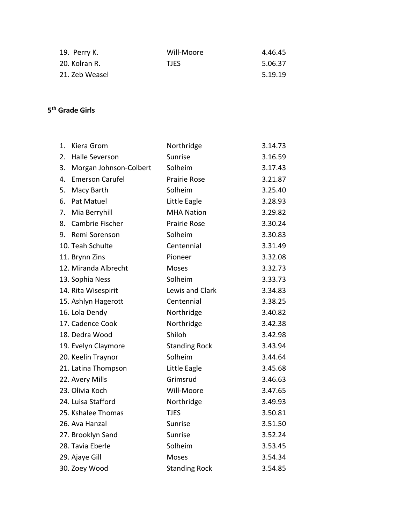| 19. Perry K.   | Will-Moore  | 4.46.45 |
|----------------|-------------|---------|
| 20. Kolran R.  | <b>TJFS</b> | 5.06.37 |
| 21. Zeb Weasel |             | 5.19.19 |

#### **5 th Grade Girls**

| 1. | Kiera Grom             | Northridge           | 3.14.73 |
|----|------------------------|----------------------|---------|
| 2. | <b>Halle Severson</b>  | Sunrise              | 3.16.59 |
| 3. | Morgan Johnson-Colbert | Solheim              | 3.17.43 |
| 4. | <b>Emerson Carufel</b> | <b>Prairie Rose</b>  | 3.21.87 |
| 5. | Macy Barth             | Solheim              | 3.25.40 |
| 6. | Pat Matuel             | Little Eagle         | 3.28.93 |
| 7. | Mia Berryhill          | <b>MHA Nation</b>    | 3.29.82 |
| 8. | Cambrie Fischer        | <b>Prairie Rose</b>  | 3.30.24 |
| 9. | Remi Sorenson          | Solheim              | 3.30.83 |
|    | 10. Teah Schulte       | Centennial           | 3.31.49 |
|    | 11. Brynn Zins         | Pioneer              | 3.32.08 |
|    | 12. Miranda Albrecht   | Moses                | 3.32.73 |
|    | 13. Sophia Ness        | Solheim              | 3.33.73 |
|    | 14. Rita Wisespirit    | Lewis and Clark      | 3.34.83 |
|    | 15. Ashlyn Hagerott    | Centennial           | 3.38.25 |
|    | 16. Lola Dendy         | Northridge           | 3.40.82 |
|    | 17. Cadence Cook       | Northridge           | 3.42.38 |
|    | 18. Dedra Wood         | Shiloh               | 3.42.98 |
|    | 19. Evelyn Claymore    | <b>Standing Rock</b> | 3.43.94 |
|    | 20. Keelin Traynor     | Solheim              | 3.44.64 |
|    | 21. Latina Thompson    | Little Eagle         | 3.45.68 |
|    | 22. Avery Mills        | Grimsrud             | 3.46.63 |
|    | 23. Olivia Koch        | Will-Moore           | 3.47.65 |
|    | 24. Luisa Stafford     | Northridge           | 3.49.93 |
|    | 25. Kshalee Thomas     | <b>TJES</b>          | 3.50.81 |
|    | 26. Ava Hanzal         | Sunrise              | 3.51.50 |
|    | 27. Brooklyn Sand      | Sunrise              | 3.52.24 |
|    | 28. Tavia Eberle       | Solheim              | 3.53.45 |
|    | 29. Ajaye Gill         | <b>Moses</b>         | 3.54.34 |
|    | 30. Zoey Wood          | <b>Standing Rock</b> | 3.54.85 |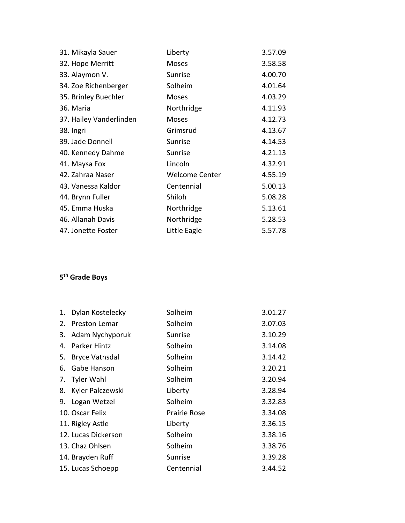| 31. Mikayla Sauer       | Liberty               | 3.57.09 |
|-------------------------|-----------------------|---------|
| 32. Hope Merritt        | Moses                 | 3.58.58 |
| 33. Alaymon V.          | Sunrise               | 4.00.70 |
| 34. Zoe Richenberger    | Solheim               | 4.01.64 |
| 35. Brinley Buechler    | Moses                 | 4.03.29 |
| 36. Maria               | Northridge            | 4.11.93 |
| 37. Hailey Vanderlinden | Moses                 | 4.12.73 |
| 38. Ingri               | Grimsrud              | 4.13.67 |
| 39. Jade Donnell        | Sunrise               | 4.14.53 |
| 40. Kennedy Dahme       | Sunrise               | 4.21.13 |
| 41. Maysa Fox           | Lincoln               | 4.32.91 |
| 42. Zahraa Naser        | <b>Welcome Center</b> | 4.55.19 |
| 43. Vanessa Kaldor      | Centennial            | 5.00.13 |
| 44. Brynn Fuller        | Shiloh                | 5.08.28 |
| 45. Emma Huska          | Northridge            | 5.13.61 |
| 46. Allanah Davis       | Northridge            | 5.28.53 |
| 47. Jonette Foster      | Little Eagle          | 5.57.78 |
|                         |                       |         |

#### **5 th Grade Boys**

| 1. | Dylan Kostelecky      | Solheim             | 3.01.27 |
|----|-----------------------|---------------------|---------|
| 2. | Preston Lemar         | Solheim             | 3.07.03 |
| 3. | Adam Nychyporuk       | Sunrise             | 3.10.29 |
| 4. | <b>Parker Hintz</b>   | Solheim             | 3.14.08 |
| 5. | <b>Bryce Vatnsdal</b> | Solheim             | 3.14.42 |
| 6. | Gabe Hanson           | Solheim             | 3.20.21 |
|    | 7. Tyler Wahl         | Solheim             | 3.20.94 |
| 8. | Kyler Palczewski      | Liberty             | 3.28.94 |
| 9. | Logan Wetzel          | Solheim             | 3.32.83 |
|    | 10. Oscar Felix       | <b>Prairie Rose</b> | 3.34.08 |
|    | 11. Rigley Astle      | Liberty             | 3.36.15 |
|    | 12. Lucas Dickerson   | Solheim             | 3.38.16 |
|    | 13. Chaz Ohlsen       | Solheim             | 3.38.76 |
|    | 14. Brayden Ruff      | Sunrise             | 3.39.28 |
|    | 15. Lucas Schoepp     | Centennial          | 3.44.52 |